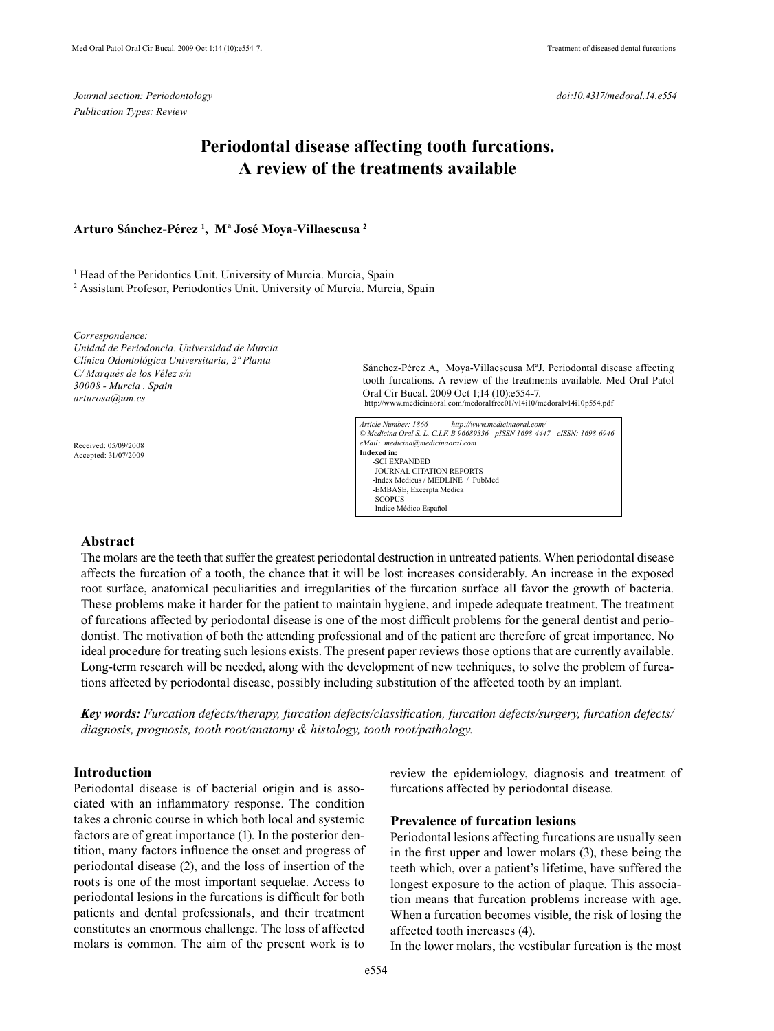*Journal section: Periodontology Publication Types: Review* 

# **Periodontal disease affecting tooth furcations. A review of the treatments available**

### **Arturo Sánchez-Pérez 1 , Mª José Moya-Villaescusa 2**

<sup>1</sup> Head of the Peridontics Unit. University of Murcia. Murcia, Spain 2 Assistant Profesor, Periodontics Unit. University of Murcia. Murcia, Spain

*Correspondence: Unidad de Periodoncia. Universidad de Murcia Clínica Odontológica Universitaria, 2ª Planta C/ Marqués de los Vélez s/n 30008 - Murcia . Spain arturosa@um.es*

 Received: 05/09/2008 Accepted: 31/07/2009 Sánchez-Pérez A, Moya-Villaescusa MªJ. Periodontal disease affecting tooth furcations. A review of the treatments available. Med Oral Patol Oral Cir Bucal. 2009 Oct 1;14 (10):e554-7. http://www.medicinaoral.com/medoralfree01/v14i10/medoralv14i10p554.pdf

*Article Number: 1866 http://www.medicinaoral.com/ © Medicina Oral S. L. C.I.F. B 96689336 - pISSN 1698-4447 - eISSN: 1698-6946 eMail: medicina@medicinaoral.com*  **Indexed in:**  -SCI EXPANDED -JOURNAL CITATION REPORTS -Index Medicus / MEDLINE / PubMed -EMBASE, Excerpta Medica -SCOPUS -Indice Médico Español

## **Abstract**

The molars are the teeth that suffer the greatest periodontal destruction in untreated patients. When periodontal disease affects the furcation of a tooth, the chance that it will be lost increases considerably. An increase in the exposed root surface, anatomical peculiarities and irregularities of the furcation surface all favor the growth of bacteria. These problems make it harder for the patient to maintain hygiene, and impede adequate treatment. The treatment of furcations affected by periodontal disease is one of the most difficult problems for the general dentist and periodontist. The motivation of both the attending professional and of the patient are therefore of great importance. No ideal procedure for treating such lesions exists. The present paper reviews those options that are currently available. Long-term research will be needed, along with the development of new techniques, to solve the problem of furcations affected by periodontal disease, possibly including substitution of the affected tooth by an implant.

*Key words: Furcation defects/therapy, furcation defects/classification, furcation defects/surgery, furcation defects/ diagnosis, prognosis, tooth root/anatomy & histology, tooth root/pathology.*

### **Introduction**

Periodontal disease is of bacterial origin and is associated with an inflammatory response. The condition takes a chronic course in which both local and systemic factors are of great importance (1). In the posterior dentition, many factors influence the onset and progress of periodontal disease (2), and the loss of insertion of the roots is one of the most important sequelae. Access to periodontal lesions in the furcations is difficult for both patients and dental professionals, and their treatment constitutes an enormous challenge. The loss of affected molars is common. The aim of the present work is to review the epidemiology, diagnosis and treatment of furcations affected by periodontal disease.

#### **Prevalence of furcation lesions**

Periodontal lesions affecting furcations are usually seen in the first upper and lower molars (3), these being the teeth which, over a patient's lifetime, have suffered the longest exposure to the action of plaque. This association means that furcation problems increase with age. When a furcation becomes visible, the risk of losing the affected tooth increases (4).

In the lower molars, the vestibular furcation is the most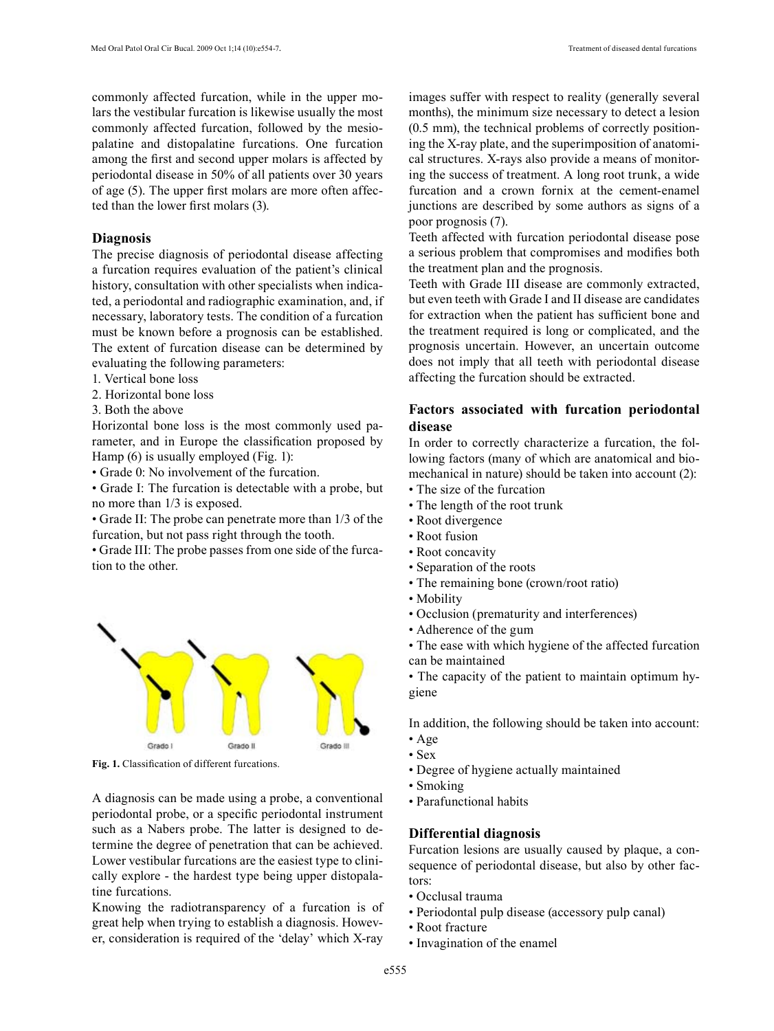commonly affected furcation, while in the upper molars the vestibular furcation is likewise usually the most commonly affected furcation, followed by the mesiopalatine and distopalatine furcations. One furcation among the first and second upper molars is affected by periodontal disease in 50% of all patients over 30 years of age (5). The upper first molars are more often affected than the lower first molars (3).

## **Diagnosis**

The precise diagnosis of periodontal disease affecting a furcation requires evaluation of the patient's clinical history, consultation with other specialists when indicated, a periodontal and radiographic examination, and, if necessary, laboratory tests. The condition of a furcation must be known before a prognosis can be established. The extent of furcation disease can be determined by evaluating the following parameters:

- 1. Vertical bone loss
- 2. Horizontal bone loss
- 3. Both the above

Horizontal bone loss is the most commonly used parameter, and in Europe the classification proposed by Hamp (6) is usually employed (Fig. 1):

• Grade 0: No involvement of the furcation.

• Grade I: The furcation is detectable with a probe, but no more than 1/3 is exposed.

• Grade II: The probe can penetrate more than 1/3 of the furcation, but not pass right through the tooth.

• Grade III: The probe passes from one side of the furcation to the other.



Fig. 1. Classification of different furcations.

A diagnosis can be made using a probe, a conventional periodontal probe, or a specific periodontal instrument such as a Nabers probe. The latter is designed to determine the degree of penetration that can be achieved. Lower vestibular furcations are the easiest type to clinically explore - the hardest type being upper distopalatine furcations.

Knowing the radiotransparency of a furcation is of great help when trying to establish a diagnosis. However, consideration is required of the 'delay' which X-ray

images suffer with respect to reality (generally several months), the minimum size necessary to detect a lesion (0.5 mm), the technical problems of correctly positioning the X-ray plate, and the superimposition of anatomical structures. X-rays also provide a means of monitoring the success of treatment. A long root trunk, a wide furcation and a crown fornix at the cement-enamel junctions are described by some authors as signs of a poor prognosis (7).

Teeth affected with furcation periodontal disease pose a serious problem that compromises and modifies both the treatment plan and the prognosis.

Teeth with Grade III disease are commonly extracted, but even teeth with Grade I and II disease are candidates for extraction when the patient has sufficient bone and the treatment required is long or complicated, and the prognosis uncertain. However, an uncertain outcome does not imply that all teeth with periodontal disease affecting the furcation should be extracted.

# **Factors associated with furcation periodontal disease**

In order to correctly characterize a furcation, the following factors (many of which are anatomical and biomechanical in nature) should be taken into account (2):

- The size of the furcation
- The length of the root trunk
- Root divergence
- Root fusion
- Root concavity
- Separation of the roots
- The remaining bone (crown/root ratio)
- Mobility
- Occlusion (prematurity and interferences)
- Adherence of the gum
- The ease with which hygiene of the affected furcation can be maintained

• The capacity of the patient to maintain optimum hygiene

In addition, the following should be taken into account:

- Age
- Sex
- Degree of hygiene actually maintained
- Smoking
- Parafunctional habits

#### **Differential diagnosis**

Furcation lesions are usually caused by plaque, a consequence of periodontal disease, but also by other factors:

- Occlusal trauma
- Periodontal pulp disease (accessory pulp canal)
- Root fracture
- Invagination of the enamel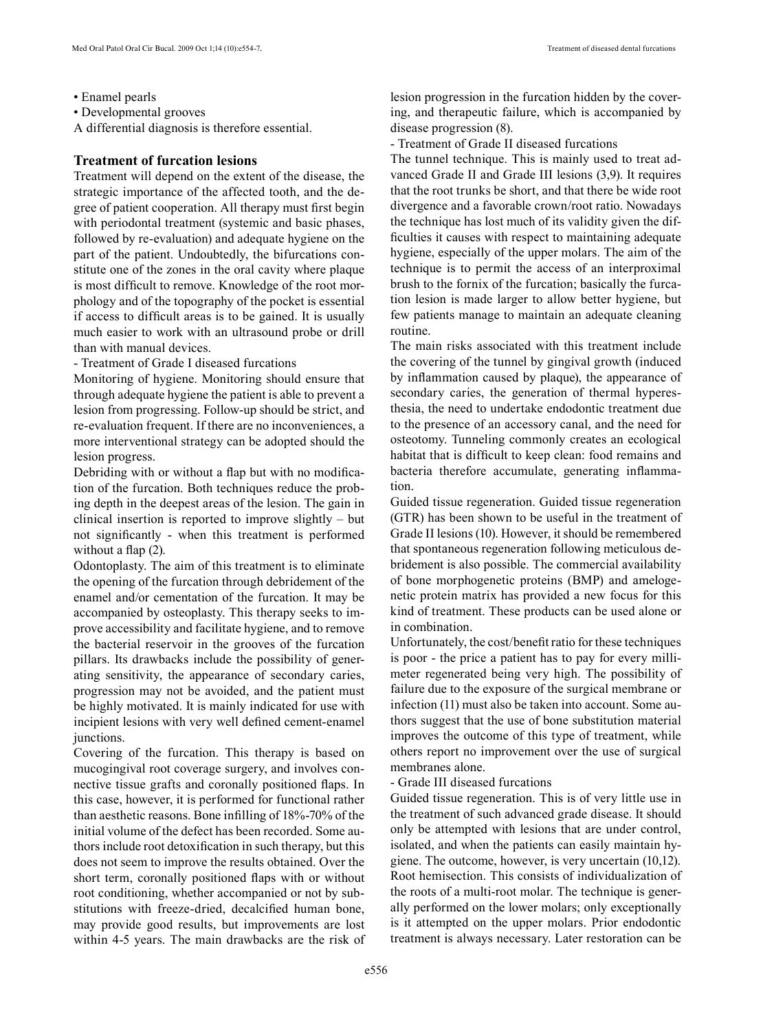• Enamel pearls

• Developmental grooves

A differential diagnosis is therefore essential.

# **Treatment of furcation lesions**

Treatment will depend on the extent of the disease, the strategic importance of the affected tooth, and the degree of patient cooperation. All therapy must first begin with periodontal treatment (systemic and basic phases, followed by re-evaluation) and adequate hygiene on the part of the patient. Undoubtedly, the bifurcations constitute one of the zones in the oral cavity where plaque is most difficult to remove. Knowledge of the root morphology and of the topography of the pocket is essential if access to difficult areas is to be gained. It is usually much easier to work with an ultrasound probe or drill than with manual devices.

- Treatment of Grade I diseased furcations

Monitoring of hygiene. Monitoring should ensure that through adequate hygiene the patient is able to prevent a lesion from progressing. Follow-up should be strict, and re-evaluation frequent. If there are no inconveniences, a more interventional strategy can be adopted should the lesion progress.

Debriding with or without a flap but with no modification of the furcation. Both techniques reduce the probing depth in the deepest areas of the lesion. The gain in clinical insertion is reported to improve slightly – but not significantly - when this treatment is performed without a flap  $(2)$ .

Odontoplasty. The aim of this treatment is to eliminate the opening of the furcation through debridement of the enamel and/or cementation of the furcation. It may be accompanied by osteoplasty. This therapy seeks to improve accessibility and facilitate hygiene, and to remove the bacterial reservoir in the grooves of the furcation pillars. Its drawbacks include the possibility of generating sensitivity, the appearance of secondary caries, progression may not be avoided, and the patient must be highly motivated. It is mainly indicated for use with incipient lesions with very well defined cement-enamel junctions.

Covering of the furcation. This therapy is based on mucogingival root coverage surgery, and involves connective tissue grafts and coronally positioned flaps. In this case, however, it is performed for functional rather than aesthetic reasons. Bone infilling of 18%-70% of the initial volume of the defect has been recorded. Some authors include root detoxification in such therapy, but this does not seem to improve the results obtained. Over the short term, coronally positioned flaps with or without root conditioning, whether accompanied or not by substitutions with freeze-dried, decalcified human bone, may provide good results, but improvements are lost within 4-5 years. The main drawbacks are the risk of lesion progression in the furcation hidden by the covering, and therapeutic failure, which is accompanied by disease progression (8).

- Treatment of Grade II diseased furcations

The tunnel technique. This is mainly used to treat advanced Grade II and Grade III lesions (3,9). It requires that the root trunks be short, and that there be wide root divergence and a favorable crown/root ratio. Nowadays the technique has lost much of its validity given the difficulties it causes with respect to maintaining adequate hygiene, especially of the upper molars. The aim of the technique is to permit the access of an interproximal brush to the fornix of the furcation; basically the furcation lesion is made larger to allow better hygiene, but few patients manage to maintain an adequate cleaning routine.

The main risks associated with this treatment include the covering of the tunnel by gingival growth (induced by inflammation caused by plaque), the appearance of secondary caries, the generation of thermal hyperesthesia, the need to undertake endodontic treatment due to the presence of an accessory canal, and the need for osteotomy. Tunneling commonly creates an ecological habitat that is difficult to keep clean: food remains and bacteria therefore accumulate, generating inflammation.

Guided tissue regeneration. Guided tissue regeneration (GTR) has been shown to be useful in the treatment of Grade II lesions (10). However, it should be remembered that spontaneous regeneration following meticulous debridement is also possible. The commercial availability of bone morphogenetic proteins (BMP) and amelogenetic protein matrix has provided a new focus for this kind of treatment. These products can be used alone or in combination.

Unfortunately, the cost/benefit ratio for these techniques is poor - the price a patient has to pay for every millimeter regenerated being very high. The possibility of failure due to the exposure of the surgical membrane or infection (11) must also be taken into account. Some authors suggest that the use of bone substitution material improves the outcome of this type of treatment, while others report no improvement over the use of surgical membranes alone.

## - Grade III diseased furcations

Guided tissue regeneration. This is of very little use in the treatment of such advanced grade disease. It should only be attempted with lesions that are under control, isolated, and when the patients can easily maintain hygiene. The outcome, however, is very uncertain (10,12). Root hemisection. This consists of individualization of the roots of a multi-root molar. The technique is generally performed on the lower molars; only exceptionally is it attempted on the upper molars. Prior endodontic treatment is always necessary. Later restoration can be